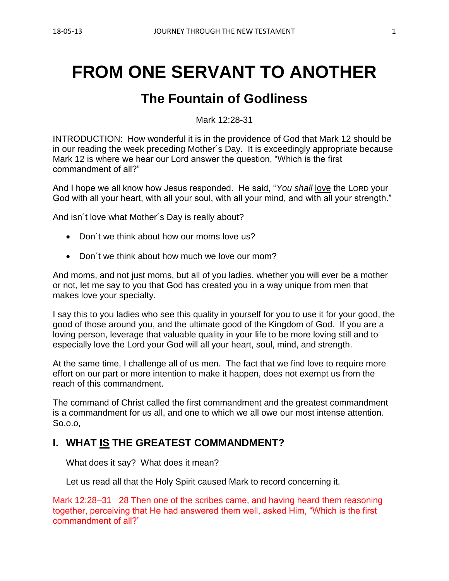# **FROM ONE SERVANT TO ANOTHER**

# **The Fountain of Godliness**

Mark 12:28-31

INTRODUCTION: How wonderful it is in the providence of God that Mark 12 should be in our reading the week preceding Mother´s Day. It is exceedingly appropriate because Mark 12 is where we hear our Lord answer the question, "Which is the first commandment of all?"

And I hope we all know how Jesus responded. He said, "*You shall* love the LORD your God with all your heart, with all your soul, with all your mind, and with all your strength."

And isn´t love what Mother´s Day is really about?

- Don't we think about how our moms love us?
- Don't we think about how much we love our mom?

And moms, and not just moms, but all of you ladies, whether you will ever be a mother or not, let me say to you that God has created you in a way unique from men that makes love your specialty.

I say this to you ladies who see this quality in yourself for you to use it for your good, the good of those around you, and the ultimate good of the Kingdom of God. If you are a loving person, leverage that valuable quality in your life to be more loving still and to especially love the Lord your God will all your heart, soul, mind, and strength.

At the same time, I challenge all of us men. The fact that we find love to require more effort on our part or more intention to make it happen, does not exempt us from the reach of this commandment.

The command of Christ called the first commandment and the greatest commandment is a commandment for us all, and one to which we all owe our most intense attention. So.o.o,

## **I. WHAT IS THE GREATEST COMMANDMENT?**

What does it say? What does it mean?

Let us read all that the Holy Spirit caused Mark to record concerning it.

Mark 12:28–31 28 Then one of the scribes came, and having heard them reasoning together, perceiving that He had answered them well, asked Him, "Which is the first commandment of all?"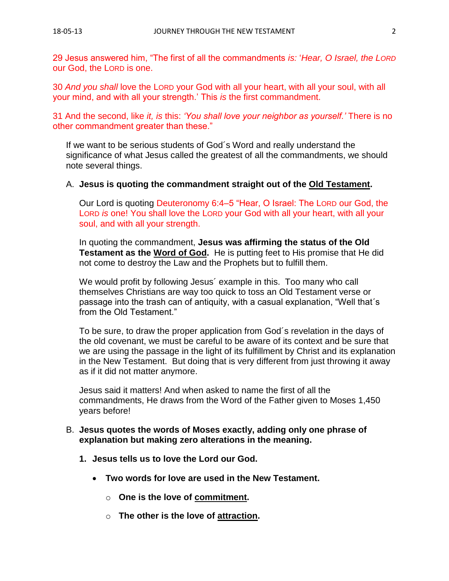29 Jesus answered him, "The first of all the commandments *is:* '*Hear, O Israel, the LORD* our God, the LORD is one.

30 *And you shall* love the LORD your God with all your heart, with all your soul, with all your mind, and with all your strength.' This *is* the first commandment.

31 And the second, like *it, is* this: *'You shall love your neighbor as yourself.'* There is no other commandment greater than these."

If we want to be serious students of God´s Word and really understand the significance of what Jesus called the greatest of all the commandments, we should note several things.

#### A. **Jesus is quoting the commandment straight out of the Old Testament.**

Our Lord is quoting Deuteronomy 6:4–5 "Hear, O Israel: The LORD our God, the LORD *is* one! You shall love the LORD your God with all your heart, with all your soul, and with all your strength.

In quoting the commandment, **Jesus was affirming the status of the Old Testament as the Word of God.** He is putting feet to His promise that He did not come to destroy the Law and the Prophets but to fulfill them.

We would profit by following Jesus´ example in this. Too many who call themselves Christians are way too quick to toss an Old Testament verse or passage into the trash can of antiquity, with a casual explanation, "Well that´s from the Old Testament."

To be sure, to draw the proper application from God´s revelation in the days of the old covenant, we must be careful to be aware of its context and be sure that we are using the passage in the light of its fulfillment by Christ and its explanation in the New Testament. But doing that is very different from just throwing it away as if it did not matter anymore.

Jesus said it matters! And when asked to name the first of all the commandments, He draws from the Word of the Father given to Moses 1,450 years before!

#### B. **Jesus quotes the words of Moses exactly, adding only one phrase of explanation but making zero alterations in the meaning.**

- **1. Jesus tells us to love the Lord our God.**
	- **Two words for love are used in the New Testament.**
		- o **One is the love of commitment.**
		- o **The other is the love of attraction.**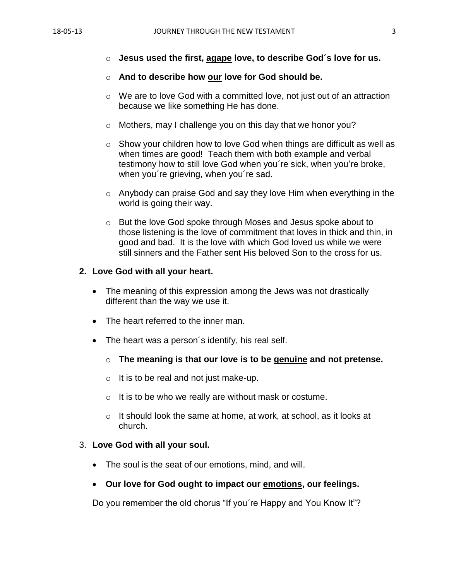- o **Jesus used the first, agape love, to describe God´s love for us.**
- o **And to describe how our love for God should be.**
- $\circ$  We are to love God with a committed love, not just out of an attraction because we like something He has done.
- o Mothers, may I challenge you on this day that we honor you?
- $\circ$  Show your children how to love God when things are difficult as well as when times are good! Teach them with both example and verbal testimony how to still love God when you´re sick, when you're broke, when you're grieving, when you're sad.
- o Anybody can praise God and say they love Him when everything in the world is going their way.
- o But the love God spoke through Moses and Jesus spoke about to those listening is the love of commitment that loves in thick and thin, in good and bad. It is the love with which God loved us while we were still sinners and the Father sent His beloved Son to the cross for us.

#### **2. Love God with all your heart.**

- The meaning of this expression among the Jews was not drastically different than the way we use it.
- The heart referred to the inner man.
- The heart was a person's identify, his real self.
	- o **The meaning is that our love is to be genuine and not pretense.**
	- $\circ$  It is to be real and not just make-up.
	- $\circ$  It is to be who we really are without mask or costume.
	- o It should look the same at home, at work, at school, as it looks at church.

#### 3. **Love God with all your soul.**

- The soul is the seat of our emotions, mind, and will.
- **Our love for God ought to impact our emotions, our feelings.**

Do you remember the old chorus "If you´re Happy and You Know It"?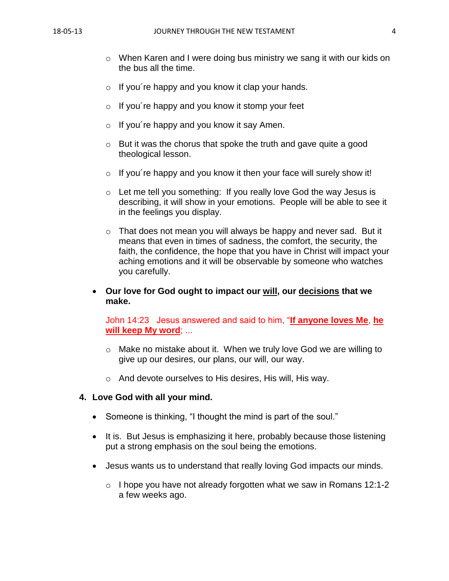- $\circ$  When Karen and I were doing bus ministry we sang it with our kids on the bus all the time.
- $\circ$  If you're happy and you know it clap your hands.
- $\circ$  If you're happy and you know it stomp your feet
- $\circ$  If you're happy and you know it say Amen.
- o But it was the chorus that spoke the truth and gave quite a good theological lesson.
- $\circ$  If you're happy and you know it then your face will surely show it!
- o Let me tell you something: If you really love God the way Jesus is describing, it will show in your emotions. People will be able to see it in the feelings you display.
- $\circ$  That does not mean you will always be happy and never sad. But it means that even in times of sadness, the comfort, the security, the faith, the confidence, the hope that you have in Christ will impact your aching emotions and it will be observable by someone who watches you carefully.
- **Our love for God ought to impact our will, our decisions that we make.**

John 14:23 Jesus answered and said to him, "**If anyone loves Me**, **he will keep My word**; ...

- o Make no mistake about it. When we truly love God we are willing to give up our desires, our plans, our will, our way.
- o And devote ourselves to His desires, His will, His way.

#### **4. Love God with all your mind.**

- Someone is thinking, "I thought the mind is part of the soul."
- It is. But Jesus is emphasizing it here, probably because those listening put a strong emphasis on the soul being the emotions.
- Jesus wants us to understand that really loving God impacts our minds.
	- $\circ$  I hope you have not already forgotten what we saw in Romans 12:1-2 a few weeks ago.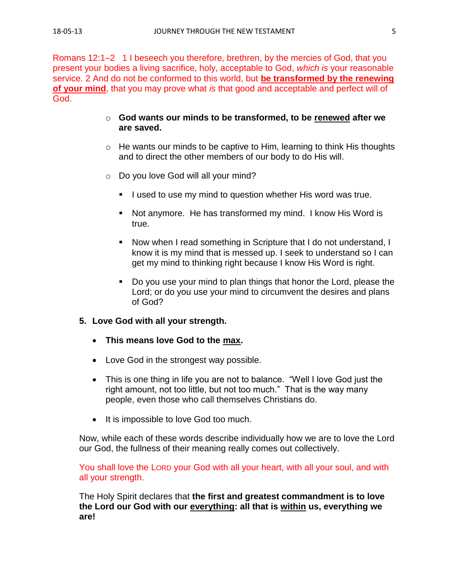Romans 12:1–2 1 I beseech you therefore, brethren, by the mercies of God, that you present your bodies a living sacrifice, holy, acceptable to God, *which is* your reasonable service. 2 And do not be conformed to this world, but **be transformed by the renewing of your mind**, that you may prove what *is* that good and acceptable and perfect will of God.

- o **God wants our minds to be transformed, to be renewed after we are saved.**
- $\circ$  He wants our minds to be captive to Him, learning to think His thoughts and to direct the other members of our body to do His will.
- o Do you love God will all your mind?
	- **EXECT** I used to use my mind to question whether His word was true.
	- Not anymore. He has transformed my mind. I know His Word is true.
	- Now when I read something in Scripture that I do not understand, I know it is my mind that is messed up. I seek to understand so I can get my mind to thinking right because I know His Word is right.
	- Do you use your mind to plan things that honor the Lord, please the Lord; or do you use your mind to circumvent the desires and plans of God?

#### **5. Love God with all your strength.**

- **This means love God to the max.**
- Love God in the strongest way possible.
- This is one thing in life you are not to balance. "Well I love God just the right amount, not too little, but not too much." That is the way many people, even those who call themselves Christians do.
- It is impossible to love God too much.

Now, while each of these words describe individually how we are to love the Lord our God, the fullness of their meaning really comes out collectively.

You shall love the LORD your God with all your heart, with all your soul, and with all your strength.

The Holy Spirit declares that **the first and greatest commandment is to love the Lord our God with our everything: all that is within us, everything we are!**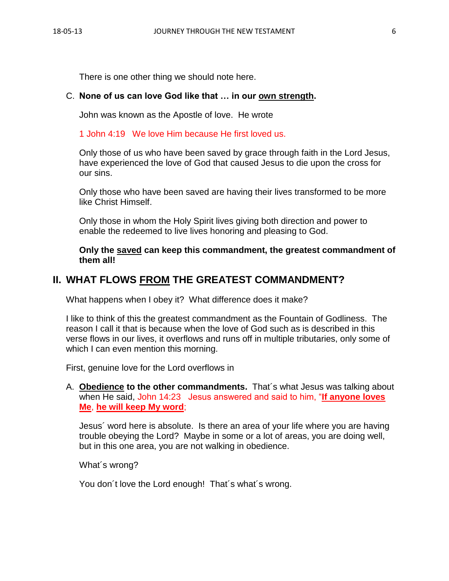There is one other thing we should note here.

#### C. **None of us can love God like that … in our own strength.**

John was known as the Apostle of love. He wrote

1 John 4:19 We love Him because He first loved us.

Only those of us who have been saved by grace through faith in the Lord Jesus, have experienced the love of God that caused Jesus to die upon the cross for our sins.

Only those who have been saved are having their lives transformed to be more like Christ Himself.

Only those in whom the Holy Spirit lives giving both direction and power to enable the redeemed to live lives honoring and pleasing to God.

**Only the saved can keep this commandment, the greatest commandment of them all!**

### **II. WHAT FLOWS FROM THE GREATEST COMMANDMENT?**

What happens when I obey it? What difference does it make?

I like to think of this the greatest commandment as the Fountain of Godliness. The reason I call it that is because when the love of God such as is described in this verse flows in our lives, it overflows and runs off in multiple tributaries, only some of which I can even mention this morning.

First, genuine love for the Lord overflows in

A. **Obedience to the other commandments.** That´s what Jesus was talking about when He said, John 14:23 Jesus answered and said to him, "**If anyone loves Me**, **he will keep My word**;

Jesus´ word here is absolute. Is there an area of your life where you are having trouble obeying the Lord? Maybe in some or a lot of areas, you are doing well, but in this one area, you are not walking in obedience.

What´s wrong?

You don´t love the Lord enough! That´s what´s wrong.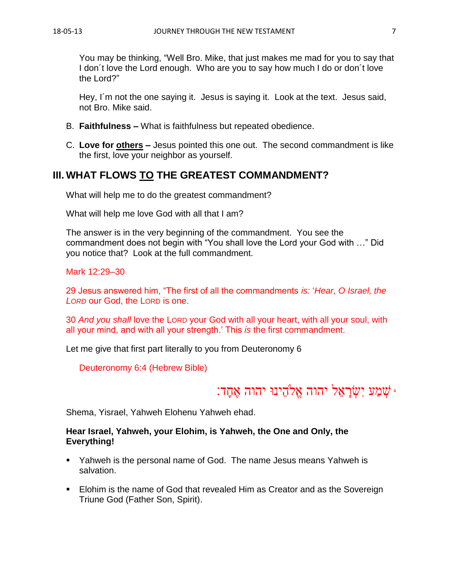You may be thinking, "Well Bro. Mike, that just makes me mad for you to say that I don't love the Lord enough. Who are you to say how much I do or don't love the Lord?"

Hey, I´m not the one saying it. Jesus is saying it. Look at the text. Jesus said, not Bro. Mike said.

- B. **Faithfulness –** What is faithfulness but repeated obedience.
- C. **Love for others –** Jesus pointed this one out. The second commandment is like the first, love your neighbor as yourself.

## **III. WHAT FLOWS TO THE GREATEST COMMANDMENT?**

What will help me to do the greatest commandment?

What will help me love God with all that I am?

The answer is in the very beginning of the commandment. You see the commandment does not begin with "You shall love the Lord your God with …" Did you notice that? Look at the full commandment.

Mark 12:29–30

29 Jesus answered him, "The first of all the commandments *is:* '*Hear, O Israel, the LORD* our God, the LORD is one.

30 *And you shall* love the LORD your God with all your heart, with all your soul, with all your mind, and with all your strength.' This *is* the first commandment.

Let me give that first part literally to you from Deuteronomy 6

Deuteronomy 6:4 (Hebrew Bible)

# שְׁמַע יִשְׂרַאֵל יהוה אֱלֹהֵינוּ יהוה אֶחָד: 4

Shema, Yisrael, Yahweh Elohenu Yahweh ehad.

#### **Hear Israel, Yahweh, your Elohim, is Yahweh, the One and Only, the Everything!**

- Yahweh is the personal name of God. The name Jesus means Yahweh is salvation.
- Elohim is the name of God that revealed Him as Creator and as the Sovereign Triune God (Father Son, Spirit).